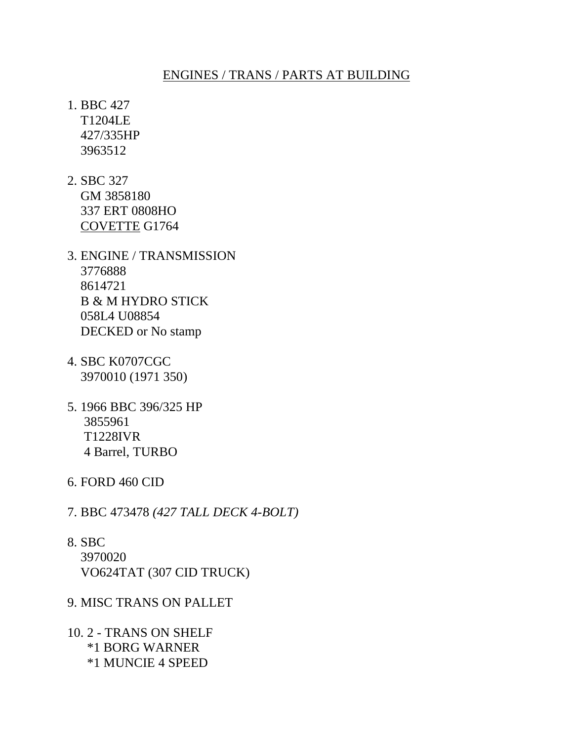## ENGINES / TRANS / PARTS AT BUILDING

1. BBC 427 T1204LE 427/335HP 3963512

- 2. SBC 327 GM 3858180 337 ERT 0808HO COVETTE G1764
- 3. ENGINE / TRANSMISSION 3776888 8614721 B & M HYDRO STICK 058L4 U08854 DECKED or No stamp
- 4. SBC K0707CGC 3970010 (1971 350)
- 5. 1966 BBC 396/325 HP 3855961 T1228IVR 4 Barrel, TURBO
- 6. FORD 460 CID
- 7. BBC 473478 *(427 TALL DECK 4-BOLT)*
- 8. SBC 3970020 VO624TAT (307 CID TRUCK)

## 9. MISC TRANS ON PALLET

10. 2 - TRANS ON SHELF \*1 BORG WARNER \*1 MUNCIE 4 SPEED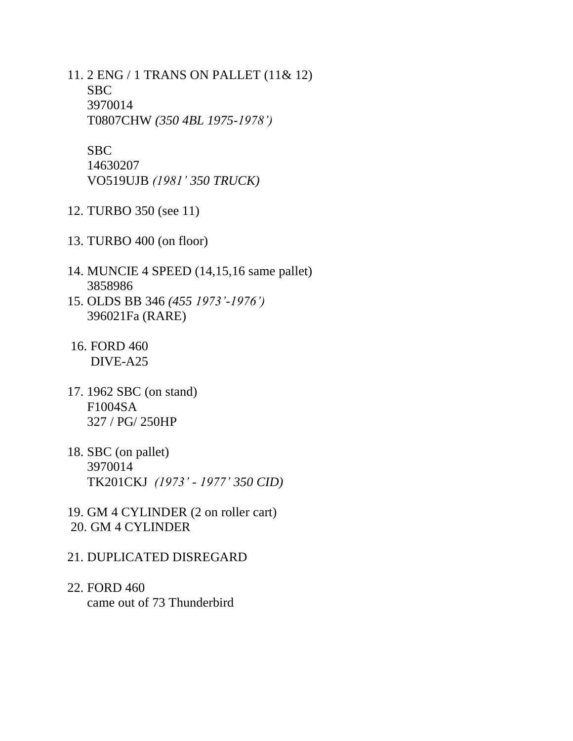11. 2 ENG / 1 TRANS ON PALLET (11& 12) SBC 3970014 T0807CHW *(350 4BL 1975-1978')*

SBC

 14630207 VO519UJB *(1981' 350 TRUCK)*

- 12. TURBO 350 (see 11)
- 13. TURBO 400 (on floor)
- 14. MUNCIE 4 SPEED (14,15,16 same pallet) 3858986
- 15. OLDS BB 346 *(455 1973'-1976')* 396021Fa (RARE)
- 16. FORD 460 DIVE-A25
- 17. 1962 SBC (on stand) F1004SA 327 / PG/ 250HP
- 18. SBC (on pallet) 3970014 TK201CKJ *(1973' - 1977' 350 CID)*
- 19. GM 4 CYLINDER (2 on roller cart) 20. GM 4 CYLINDER
- 21. DUPLICATED DISREGARD
- 22. FORD 460 came out of 73 Thunderbird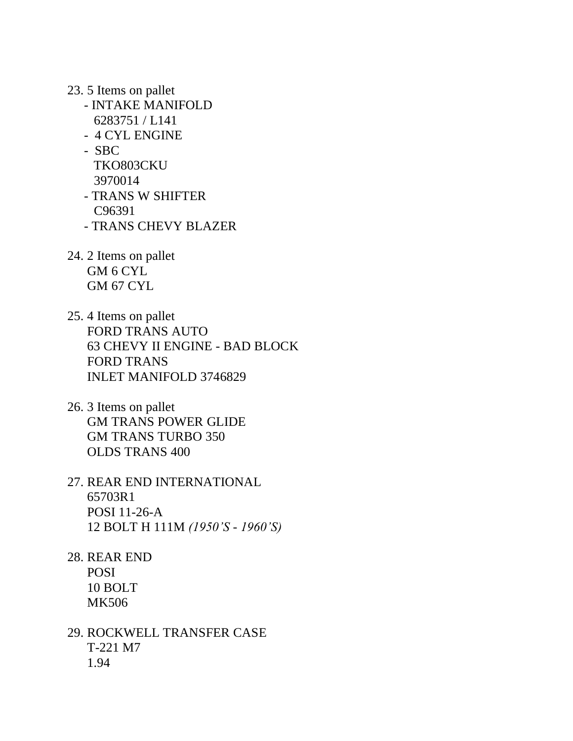- 23. 5 Items on pallet
	- INTAKE MANIFOLD 6283751 / L141
	- 4 CYL ENGINE
	- SBC
		- TKO803CKU
		- 3970014
	- TRANS W SHIFTER C96391
	- TRANS CHEVY BLAZER
- 24. 2 Items on pallet GM 6 CYL GM 67 CYL
- 25. 4 Items on pallet FORD TRANS AUTO 63 CHEVY II ENGINE - BAD BLOCK FORD TRANS INLET MANIFOLD 3746829
- 26. 3 Items on pallet GM TRANS POWER GLIDE GM TRANS TURBO 350 OLDS TRANS 400
- 27. REAR END INTERNATIONAL 65703R1 POSI 11-26-A 12 BOLT H 111M *(1950'S - 1960'S)*
- 28. REAR END POSI 10 BOLT MK506
- 29. ROCKWELL TRANSFER CASE T-221 M7 1.94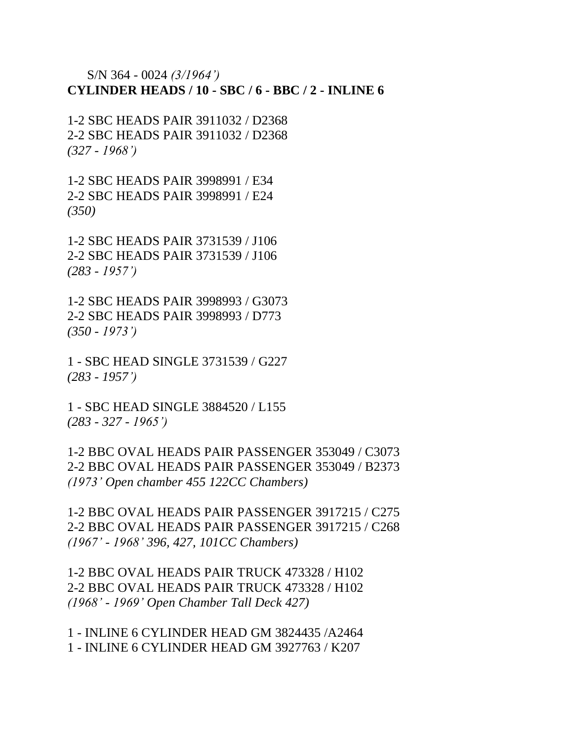S/N 364 - 0024 *(3/1964')* **CYLINDER HEADS / 10 - SBC / 6 - BBC / 2 - INLINE 6**

1-2 SBC HEADS PAIR 3911032 / D2368 2-2 SBC HEADS PAIR 3911032 / D2368 *(327 - 1968')*

1-2 SBC HEADS PAIR 3998991 / E34 2-2 SBC HEADS PAIR 3998991 / E24 *(350)*

1-2 SBC HEADS PAIR 3731539 / J106 2-2 SBC HEADS PAIR 3731539 / J106 *(283 - 1957')*

1-2 SBC HEADS PAIR 3998993 / G3073 2-2 SBC HEADS PAIR 3998993 / D773 *(350 - 1973')*

1 - SBC HEAD SINGLE 3731539 / G227 *(283 - 1957')*

1 - SBC HEAD SINGLE 3884520 / L155 *(283 - 327 - 1965')*

1-2 BBC OVAL HEADS PAIR PASSENGER 353049 / C3073 2-2 BBC OVAL HEADS PAIR PASSENGER 353049 / B2373 *(1973' Open chamber 455 122CC Chambers)*

1-2 BBC OVAL HEADS PAIR PASSENGER 3917215 / C275 2-2 BBC OVAL HEADS PAIR PASSENGER 3917215 / C268 *(1967' - 1968' 396, 427, 101CC Chambers)*

1-2 BBC OVAL HEADS PAIR TRUCK 473328 / H102 2-2 BBC OVAL HEADS PAIR TRUCK 473328 / H102 *(1968' - 1969' Open Chamber Tall Deck 427)*

1 - INLINE 6 CYLINDER HEAD GM 3824435 /A2464 1 - INLINE 6 CYLINDER HEAD GM 3927763 / K207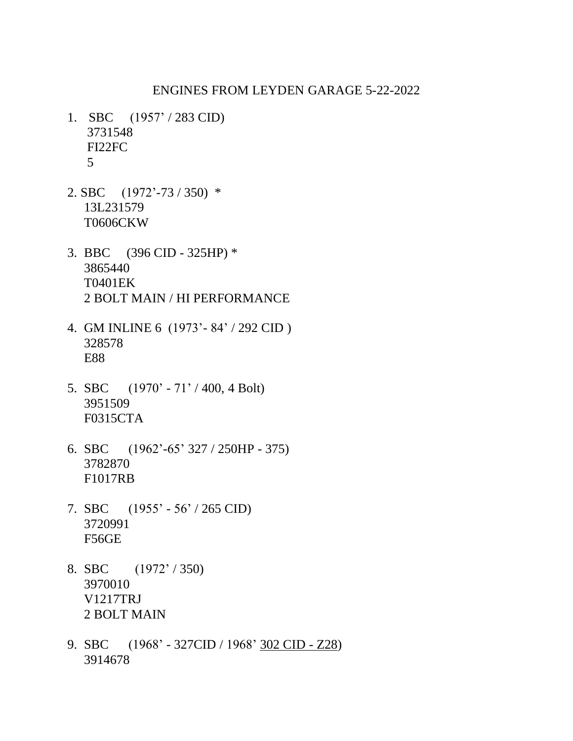## ENGINES FROM LEYDEN GARAGE 5-22-2022

- 1. SBC (1957' / 283 CID) 3731548 FI22FC 5
- 2. SBC (1972'-73 / 350) \* 13L231579 T0606CKW
- 3. BBC (396 CID 325HP) \* 3865440 T0401EK 2 BOLT MAIN / HI PERFORMANCE
- 4. GM INLINE 6 (1973'- 84' / 292 CID ) 328578 E88
- 5. SBC (1970' 71' / 400, 4 Bolt) 3951509 F0315CTA
- 6. SBC (1962'-65' 327 / 250HP 375) 3782870 F1017RB
- 7. SBC (1955' 56' / 265 CID) 3720991 F56GE
- 8. SBC (1972' / 350) 3970010 V1217TRJ 2 BOLT MAIN
- 9. SBC (1968' 327CID / 1968' 302 CID Z28) 3914678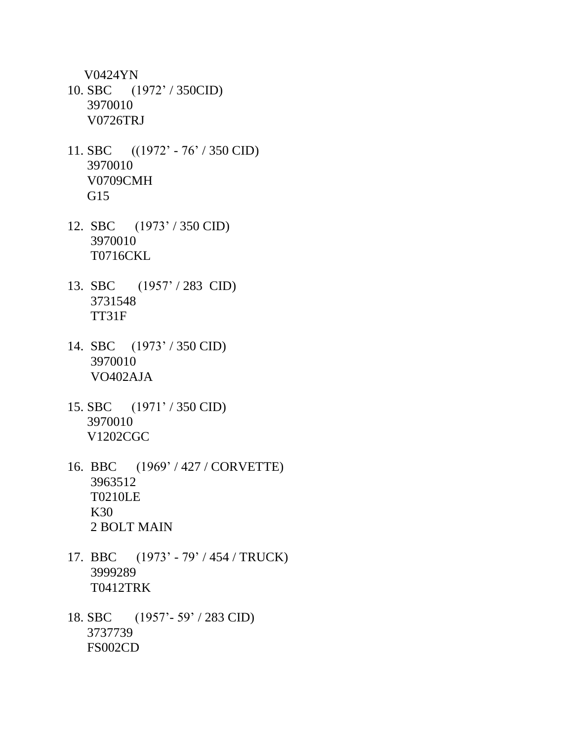V0424YN

- 10. SBC (1972' / 350CID) 3970010 V0726TRJ
- 11. SBC ((1972' 76' / 350 CID) 3970010 V0709CMH G15
- 12. SBC (1973' / 350 CID) 3970010 T0716CKL
- 13. SBC (1957' / 283 CID) 3731548 TT31F
- 14. SBC (1973' / 350 CID) 3970010 VO402AJA
- 15. SBC (1971' / 350 CID) 3970010 V1202CGC
- 16. BBC (1969' / 427 / CORVETTE) 3963512 T0210LE K30 2 BOLT MAIN
- 17. BBC (1973' 79' / 454 / TRUCK) 3999289 T0412TRK
- 18. SBC (1957'- 59' / 283 CID) 3737739 FS002CD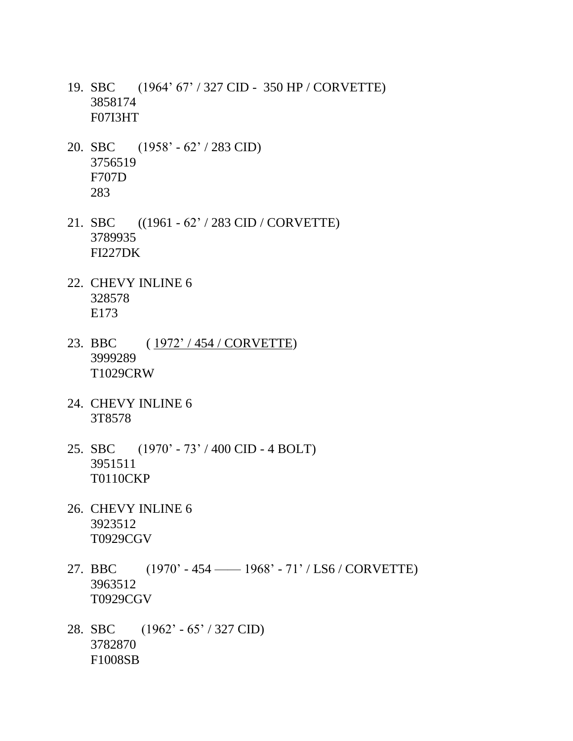- 19. SBC (1964' 67' / 327 CID 350 HP / CORVETTE) 3858174 F07I3HT
- 20. SBC (1958' 62' / 283 CID) 3756519 F707D 283
- 21. SBC ((1961 62' / 283 CID / CORVETTE) 3789935 FI227DK
- 22. CHEVY INLINE 6 328578 E173
- 23. BBC (1972' / 454 / CORVETTE) 3999289 T1029CRW
- 24. CHEVY INLINE 6 3T8578
- 25. SBC (1970' 73' / 400 CID 4 BOLT) 3951511 T0110CKP
- 26. CHEVY INLINE 6 3923512 T0929CGV
- 27. BBC (1970' 454 —— 1968' 71' / LS6 / CORVETTE) 3963512 T0929CGV
- 28. SBC (1962' 65' / 327 CID) 3782870 F1008SB